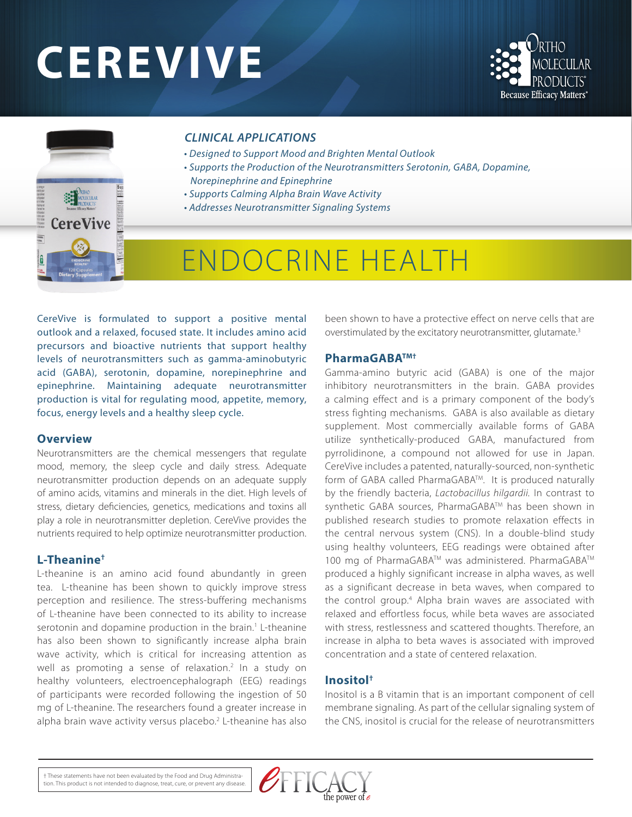# **CEREVIVE**





#### *CLINICAL APPLICATIONS*

- *Designed to Support Mood and Brighten Mental Outlook*
- *Supports the Production of the Neurotransmitters Serotonin, GABA, Dopamine, Norepinephrine and Epinephrine*
- *Supports Calming Alpha Brain Wave Activity*
- *Addresses Neurotransmitter Signaling Systems*

# ENDOCRINE HEALTH

CereVive is formulated to support a positive mental outlook and a relaxed, focused state. It includes amino acid precursors and bioactive nutrients that support healthy levels of neurotransmitters such as gamma-aminobutyric acid (GABA), serotonin, dopamine, norepinephrine and epinephrine. Maintaining adequate neurotransmitter production is vital for regulating mood, appetite, memory, focus, energy levels and a healthy sleep cycle.

#### **Overview**

Neurotransmitters are the chemical messengers that regulate mood, memory, the sleep cycle and daily stress. Adequate neurotransmitter production depends on an adequate supply of amino acids, vitamins and minerals in the diet. High levels of stress, dietary deficiencies, genetics, medications and toxins all play a role in neurotransmitter depletion. CereVive provides the nutrients required to help optimize neurotransmitter production.

#### **L-Theanine†**

L-theanine is an amino acid found abundantly in green tea. L-theanine has been shown to quickly improve stress perception and resilience. The stress-buffering mechanisms of L-theanine have been connected to its ability to increase serotonin and dopamine production in the brain.<sup>1</sup> L-theanine has also been shown to significantly increase alpha brain wave activity, which is critical for increasing attention as well as promoting a sense of relaxation.<sup>2</sup> In a study on healthy volunteers, electroencephalograph (EEG) readings of participants were recorded following the ingestion of 50 mg of L-theanine. The researchers found a greater increase in alpha brain wave activity versus placebo.<sup>2</sup> L-theanine has also been shown to have a protective effect on nerve cells that are overstimulated by the excitatory neurotransmitter, glutamate.3

#### **PharmaGABATM†**

Gamma-amino butyric acid (GABA) is one of the major inhibitory neurotransmitters in the brain. GABA provides a calming effect and is a primary component of the body's stress fighting mechanisms. GABA is also available as dietary supplement. Most commercially available forms of GABA utilize synthetically-produced GABA, manufactured from pyrrolidinone, a compound not allowed for use in Japan. CereVive includes a patented, naturally-sourced, non-synthetic form of GABA called PharmaGABATM. It is produced naturally by the friendly bacteria, *Lactobacillus hilgardii.* In contrast to synthetic GABA sources, PharmaGABA™ has been shown in published research studies to promote relaxation effects in the central nervous system (CNS). In a double-blind study using healthy volunteers, EEG readings were obtained after 100 mg of PharmaGABA™ was administered. PharmaGABA™ produced a highly significant increase in alpha waves, as well as a significant decrease in beta waves, when compared to the control group.4 Alpha brain waves are associated with relaxed and effortless focus, while beta waves are associated with stress, restlessness and scattered thoughts. Therefore, an increase in alpha to beta waves is associated with improved concentration and a state of centered relaxation.

#### **Inositol†**

Inositol is a B vitamin that is an important component of cell membrane signaling. As part of the cellular signaling system of the CNS, inositol is crucial for the release of neurotransmitters

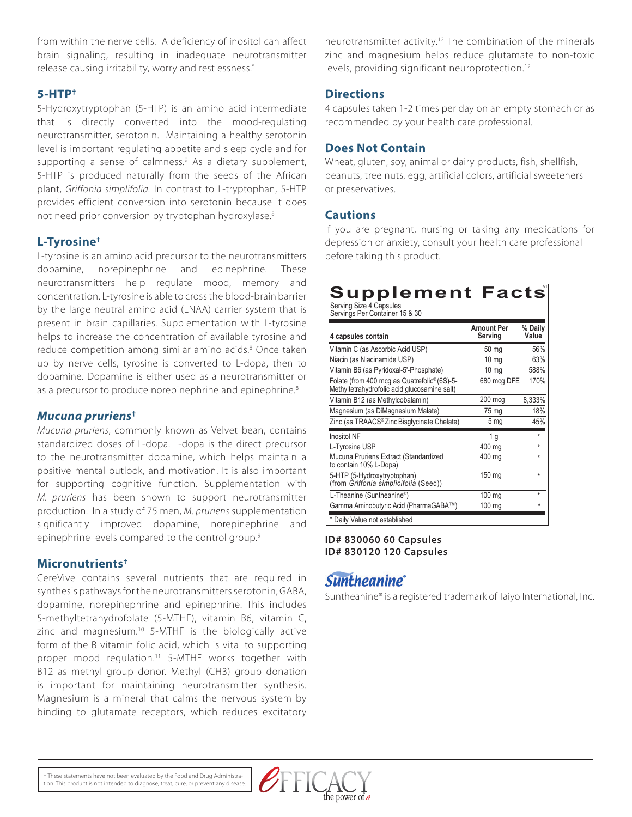from within the nerve cells. A deficiency of inositol can affect brain signaling, resulting in inadequate neurotransmitter release causing irritability, worry and restlessness.<sup>5</sup>

#### **5-HTP†**

5-Hydroxytryptophan (5-HTP) is an amino acid intermediate that is directly converted into the mood-regulating neurotransmitter, serotonin. Maintaining a healthy serotonin level is important regulating appetite and sleep cycle and for supporting a sense of calmness.<sup>9</sup> As a dietary supplement, 5-HTP is produced naturally from the seeds of the African plant, *Griffonia simplifolia.* In contrast to L-tryptophan, 5-HTP provides efficient conversion into serotonin because it does not need prior conversion by tryptophan hydroxylase.<sup>8</sup>

#### **L-Tyrosine†**

L-tyrosine is an amino acid precursor to the neurotransmitters dopamine, norepinephrine and epinephrine. These neurotransmitters help regulate mood, memory and concentration. L-tyrosine is able to cross the blood-brain barrier by the large neutral amino acid (LNAA) carrier system that is present in brain capillaries. Supplementation with L-tyrosine helps to increase the concentration of available tyrosine and reduce competition among similar amino acids.<sup>8</sup> Once taken up by nerve cells, tyrosine is converted to L-dopa, then to dopamine. Dopamine is either used as a neurotransmitter or as a precursor to produce norepinephrine and epinephrine.<sup>8</sup>

#### *Mucuna pruriens***†**

*Mucuna pruriens*, commonly known as Velvet bean, contains standardized doses of L-dopa. L-dopa is the direct precursor to the neurotransmitter dopamine, which helps maintain a positive mental outlook, and motivation. It is also important for supporting cognitive function. Supplementation with *M. pruriens* has been shown to support neurotransmitter production. In a study of 75 men, *M. pruriens* supplementation significantly improved dopamine, norepinephrine and epinephrine levels compared to the control group.<sup>9</sup>

#### **Micronutrients†**

CereVive contains several nutrients that are required in synthesis pathways for the neurotransmitters serotonin, GABA, dopamine, norepinephrine and epinephrine. This includes 5-methyltetrahydrofolate (5-MTHF), vitamin B6, vitamin C, zinc and magnesium.<sup>10</sup> 5-MTHF is the biologically active form of the B vitamin folic acid, which is vital to supporting proper mood regulation.<sup>11</sup> 5-MTHF works together with B12 as methyl group donor. Methyl (CH3) group donation is important for maintaining neurotransmitter synthesis. Magnesium is a mineral that calms the nervous system by binding to glutamate receptors, which reduces excitatory

neurotransmitter activity.12 The combination of the minerals zinc and magnesium helps reduce glutamate to non-toxic levels, providing significant neuroprotection.<sup>12</sup>

#### **Directions**

4 capsules taken 1-2 times per day on an empty stomach or as recommended by your health care professional.

#### **Does Not Contain**

Wheat, gluten, soy, animal or dairy products, fish, shellfish, peanuts, tree nuts, egg, artificial colors, artificial sweeteners or preservatives.

#### **Cautions**

If you are pregnant, nursing or taking any medications for depression or anxiety, consult your health care professional before taking this product.

## **Supplement Facts**

Serving Size 4 Capsules Servings Per Container 15 & 30

| 4 capsules contain                                                                           | <b>Amount Per</b><br>Serving | % Daily<br>Value |
|----------------------------------------------------------------------------------------------|------------------------------|------------------|
| Vitamin C (as Ascorbic Acid USP)                                                             | 50 mg                        | 56%              |
| Niacin (as Niacinamide USP)                                                                  | $10 \text{ mg}$              | 63%              |
| Vitamin B6 (as Pyridoxal-5'-Phosphate)                                                       | 10 <sub>mg</sub>             | 588%             |
| Folate (from 400 mcg as Quatrefolic® (6S)-5-<br>Methyltetrahydrofolic acid glucosamine salt) | 680 mcg DFE                  | 170%             |
| Vitamin B12 (as Methylcobalamin)                                                             | 200 mcg                      | 8,333%           |
| Magnesium (as DiMagnesium Malate)                                                            | 75 mg                        | 18%              |
| Zinc (as TRAACS® Zinc Bisglycinate Chelate)                                                  | 5 <sub>mg</sub>              | 45%              |
| <b>Inositol NF</b>                                                                           | 1 <sub>g</sub>               | $\star$          |
| L-Tyrosine USP                                                                               | 400 mg                       | $\star$          |
| Mucuna Pruriens Extract (Standardized<br>to contain 10% L-Dopa)                              | 400 mg                       | ÷                |
| 5-HTP (5-Hydroxytryptophan)<br>(from Griffonia simplicifolia (Seed))                         | 150 mg                       | $\star$          |
| L-Theanine (Suntheanine®)                                                                    | 100 mg                       | $\star$          |
| Gamma Aminobutyric Acid (PharmaGABA™)                                                        | $100 \text{ mg}$             | $\star$          |
| * Daily Value not established                                                                |                              |                  |

**ID# 830060 60 Capsules ID# 830120 120 Capsules**

### **Suntheanine**®

Suntheanine® is a registered trademark of Taiyo International, Inc.